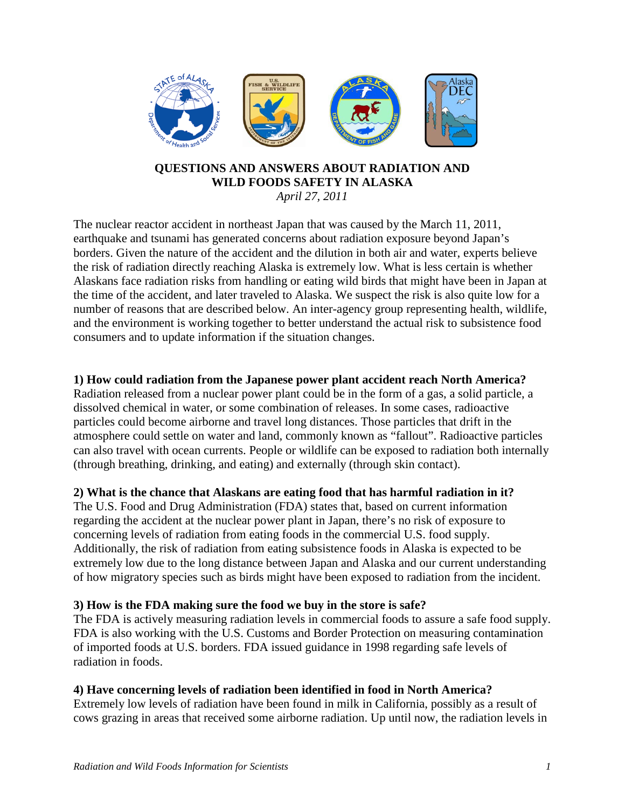

#### **QUESTIONS AND ANSWERS ABOUT RADIATION AND WILD FOODS SAFETY IN ALASKA** *April 27, 2011*

The nuclear reactor accident in northeast Japan that was caused by the March 11, 2011, earthquake and tsunami has generated concerns about radiation exposure beyond Japan's borders. Given the nature of the accident and the dilution in both air and water, experts believe the risk of radiation directly reaching Alaska is extremely low. What is less certain is whether Alaskans face radiation risks from handling or eating wild birds that might have been in Japan at the time of the accident, and later traveled to Alaska. We suspect the risk is also quite low for a number of reasons that are described below. An inter-agency group representing health, wildlife, and the environment is working together to better understand the actual risk to subsistence food consumers and to update information if the situation changes.

### **1) How could radiation from the Japanese power plant accident reach North America?**

Radiation released from a nuclear power plant could be in the form of a gas, a solid particle, a dissolved chemical in water, or some combination of releases. In some cases, radioactive particles could become airborne and travel long distances. Those particles that drift in the atmosphere could settle on water and land, commonly known as "fallout". Radioactive particles can also travel with ocean currents. People or wildlife can be exposed to radiation both internally (through breathing, drinking, and eating) and externally (through skin contact).

#### **2) What is the chance that Alaskans are eating food that has harmful radiation in it?**

The U.S. Food and Drug Administration (FDA) states that, based on current information regarding the accident at the nuclear power plant in Japan, there's no risk of exposure to concerning levels of radiation from eating foods in the commercial U.S. food supply. Additionally, the risk of radiation from eating subsistence foods in Alaska is expected to be extremely low due to the long distance between Japan and Alaska and our current understanding of how migratory species such as birds might have been exposed to radiation from the incident.

#### **3) How is the FDA making sure the food we buy in the store is safe?**

The FDA is actively measuring radiation levels in commercial foods to assure a safe food supply. FDA is also working with the U.S. Customs and Border Protection on measuring contamination of imported foods at U.S. borders. FDA issued guidance in 1998 regarding safe levels of radiation in foods.

#### **4) Have concerning levels of radiation been identified in food in North America?**

Extremely low levels of radiation have been found in milk in California, possibly as a result of cows grazing in areas that received some airborne radiation. Up until now, the radiation levels in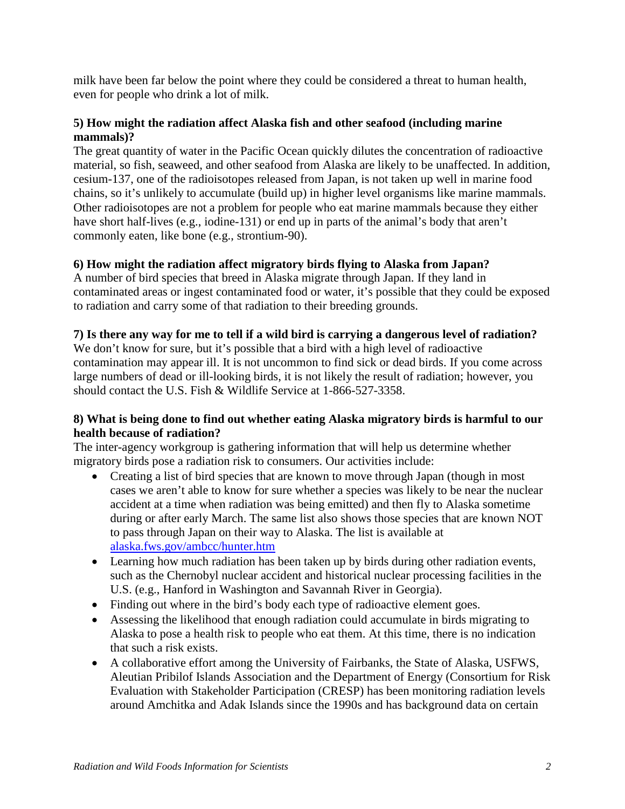milk have been far below the point where they could be considered a threat to human health, even for people who drink a lot of milk.

## **5) How might the radiation affect Alaska fish and other seafood (including marine mammals)?**

The great quantity of water in the Pacific Ocean quickly dilutes the concentration of radioactive material, so fish, seaweed, and other seafood from Alaska are likely to be unaffected. In addition, cesium-137, one of the radioisotopes released from Japan, is not taken up well in marine food chains, so it's unlikely to accumulate (build up) in higher level organisms like marine mammals. Other radioisotopes are not a problem for people who eat marine mammals because they either have short half-lives (e.g., iodine-131) or end up in parts of the animal's body that aren't commonly eaten, like bone (e.g., strontium-90).

# **6) How might the radiation affect migratory birds flying to Alaska from Japan?**

A number of bird species that breed in Alaska migrate through Japan. If they land in contaminated areas or ingest contaminated food or water, it's possible that they could be exposed to radiation and carry some of that radiation to their breeding grounds.

# **7) Is there any way for me to tell if a wild bird is carrying a dangerous level of radiation?**

We don't know for sure, but it's possible that a bird with a high level of radioactive contamination may appear ill. It is not uncommon to find sick or dead birds. If you come across large numbers of dead or ill-looking birds, it is not likely the result of radiation; however, you should contact the U.S. Fish & Wildlife Service at 1-866-527-3358.

# **8) What is being done to find out whether eating Alaska migratory birds is harmful to our health because of radiation?**

The inter-agency workgroup is gathering information that will help us determine whether migratory birds pose a radiation risk to consumers. Our activities include:

- Creating a list of bird species that are known to move through Japan (though in most cases we aren't able to know for sure whether a species was likely to be near the nuclear accident at a time when radiation was being emitted) and then fly to Alaska sometime during or after early March. The same list also shows those species that are known NOT to pass through Japan on their way to Alaska. The list is available at [alaska.fws.gov/ambcc/hunter.htm](http://alaska.fws.gov/ambcc/hunter.htm)
- Learning how much radiation has been taken up by birds during other radiation events, such as the Chernobyl nuclear accident and historical nuclear processing facilities in the U.S. (e.g., Hanford in Washington and Savannah River in Georgia).
- Finding out where in the bird's body each type of radioactive element goes.
- Assessing the likelihood that enough radiation could accumulate in birds migrating to Alaska to pose a health risk to people who eat them. At this time, there is no indication that such a risk exists.
- A collaborative effort among the University of Fairbanks, the State of Alaska, USFWS, Aleutian Pribilof Islands Association and the Department of Energy (Consortium for Risk Evaluation with Stakeholder Participation (CRESP) has been monitoring radiation levels around Amchitka and Adak Islands since the 1990s and has background data on certain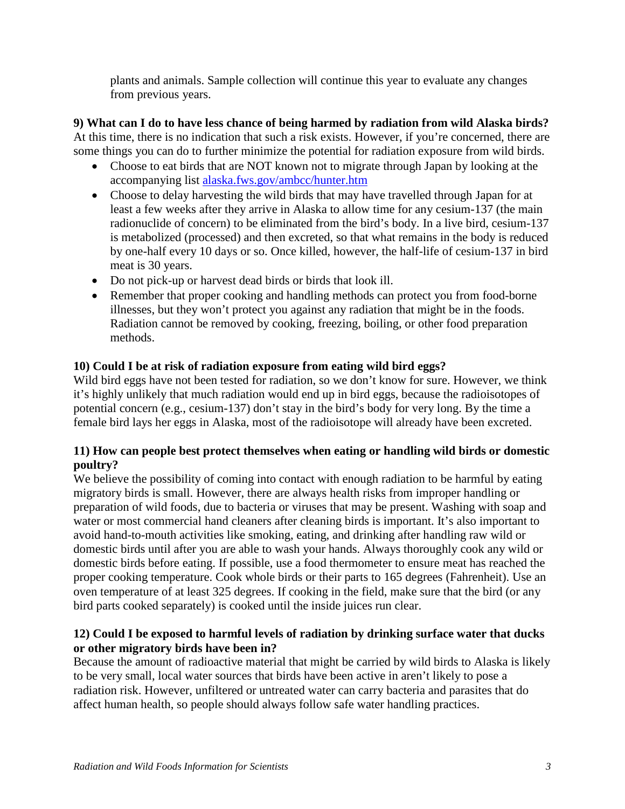plants and animals. Sample collection will continue this year to evaluate any changes from previous years.

**9) What can I do to have less chance of being harmed by radiation from wild Alaska birds?** At this time, there is no indication that such a risk exists. However, if you're concerned, there are some things you can do to further minimize the potential for radiation exposure from wild birds.

- Choose to eat birds that are NOT known not to migrate through Japan by looking at the accompanying list [alaska.fws.gov/ambcc/hunter.htm](http://alaska.fws.gov/ambcc/hunter.htm)
- Choose to delay harvesting the wild birds that may have travelled through Japan for at least a few weeks after they arrive in Alaska to allow time for any cesium-137 (the main radionuclide of concern) to be eliminated from the bird's body. In a live bird, cesium-137 is metabolized (processed) and then excreted, so that what remains in the body is reduced by one-half every 10 days or so. Once killed, however, the half-life of cesium-137 in bird meat is 30 years.
- Do not pick-up or harvest dead birds or birds that look ill.
- Remember that proper cooking and handling methods can protect you from food-borne illnesses, but they won't protect you against any radiation that might be in the foods. Radiation cannot be removed by cooking, freezing, boiling, or other food preparation methods.

### **10) Could I be at risk of radiation exposure from eating wild bird eggs?**

Wild bird eggs have not been tested for radiation, so we don't know for sure. However, we think it's highly unlikely that much radiation would end up in bird eggs, because the radioisotopes of potential concern (e.g., cesium-137) don't stay in the bird's body for very long. By the time a female bird lays her eggs in Alaska, most of the radioisotope will already have been excreted.

### **11) How can people best protect themselves when eating or handling wild birds or domestic poultry?**

We believe the possibility of coming into contact with enough radiation to be harmful by eating migratory birds is small. However, there are always health risks from improper handling or preparation of wild foods, due to bacteria or viruses that may be present. Washing with soap and water or most commercial hand cleaners after cleaning birds is important. It's also important to avoid hand-to-mouth activities like smoking, eating, and drinking after handling raw wild or domestic birds until after you are able to wash your hands. Always thoroughly cook any wild or domestic birds before eating. If possible, use a food thermometer to ensure meat has reached the proper cooking temperature. Cook whole birds or their parts to 165 degrees (Fahrenheit). Use an oven temperature of at least 325 degrees. If cooking in the field, make sure that the bird (or any bird parts cooked separately) is cooked until the inside juices run clear.

# **12) Could I be exposed to harmful levels of radiation by drinking surface water that ducks or other migratory birds have been in?**

Because the amount of radioactive material that might be carried by wild birds to Alaska is likely to be very small, local water sources that birds have been active in aren't likely to pose a radiation risk. However, unfiltered or untreated water can carry bacteria and parasites that do affect human health, so people should always follow safe water handling practices.